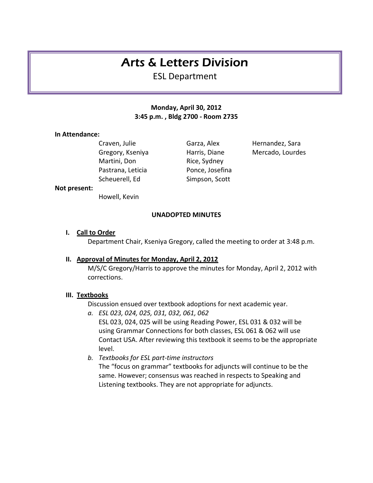# Arts & Letters Division

ESL Department

# **Monday, April 30, 2012 3:45 p.m. , Bldg 2700 - Room 2735**

### **In Attendance:**

Martini, Don Rice, Sydney Pastrana, Leticia Ponce, Josefina Scheuerell, Ed
Simpson, Scott

Craven, Julie **Garza, Alex** Hernandez, Sara Gregory, Kseniya **Harris, Diane** Mercado, Lourdes

#### **Not present:**

Howell, Kevin

## **UNADOPTED MINUTES**

### **I. Call to Order**

Department Chair, Kseniya Gregory, called the meeting to order at 3:48 p.m.

### **II. Approval of Minutes for Monday, April 2, 2012**

M/S/C Gregory/Harris to approve the minutes for Monday, April 2, 2012 with corrections.

### **III. Textbooks**

Discussion ensued over textbook adoptions for next academic year.

- *a. ESL 023, 024, 025, 031, 032, 061, 062* ESL 023, 024, 025 will be using Reading Power, ESL 031 & 032 will be using Grammar Connections for both classes, ESL 061 & 062 will use Contact USA. After reviewing this textbook it seems to be the appropriate level.
- *b. Textbooks for ESL part-time instructors* The "focus on grammar" textbooks for adjuncts will continue to be the same. However; consensus was reached in respects to Speaking and Listening textbooks. They are not appropriate for adjuncts.